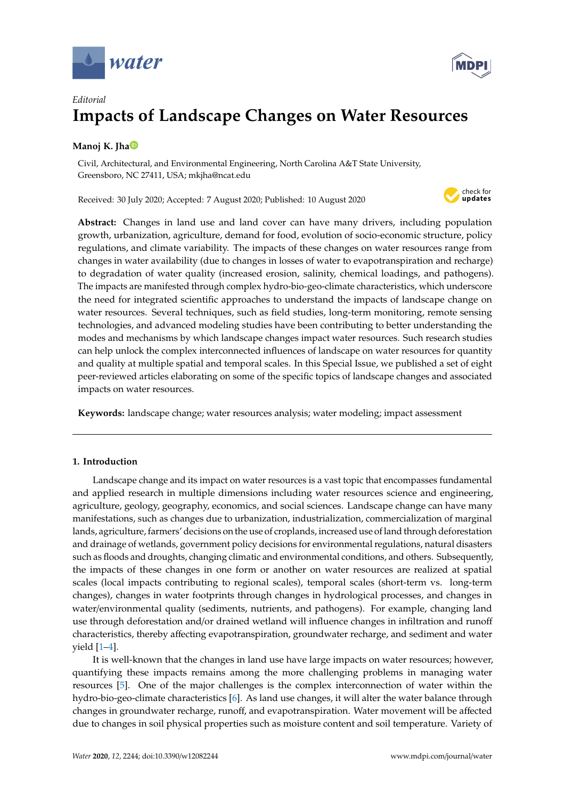



# *Editorial* **Impacts of Landscape Changes on Water Resources**

# **Manoj K. Jh[a](https://orcid.org/0000-0003-1156-2992)**

Civil, Architectural, and Environmental Engineering, North Carolina A&T State University, Greensboro, NC 27411, USA; mkjha@ncat.edu

Received: 30 July 2020; Accepted: 7 August 2020; Published: 10 August 2020



**Abstract:** Changes in land use and land cover can have many drivers, including population growth, urbanization, agriculture, demand for food, evolution of socio-economic structure, policy regulations, and climate variability. The impacts of these changes on water resources range from changes in water availability (due to changes in losses of water to evapotranspiration and recharge) to degradation of water quality (increased erosion, salinity, chemical loadings, and pathogens). The impacts are manifested through complex hydro-bio-geo-climate characteristics, which underscore the need for integrated scientific approaches to understand the impacts of landscape change on water resources. Several techniques, such as field studies, long-term monitoring, remote sensing technologies, and advanced modeling studies have been contributing to better understanding the modes and mechanisms by which landscape changes impact water resources. Such research studies can help unlock the complex interconnected influences of landscape on water resources for quantity and quality at multiple spatial and temporal scales. In this Special Issue, we published a set of eight peer-reviewed articles elaborating on some of the specific topics of landscape changes and associated impacts on water resources.

**Keywords:** landscape change; water resources analysis; water modeling; impact assessment

## **1. Introduction**

Landscape change and its impact on water resources is a vast topic that encompasses fundamental and applied research in multiple dimensions including water resources science and engineering, agriculture, geology, geography, economics, and social sciences. Landscape change can have many manifestations, such as changes due to urbanization, industrialization, commercialization of marginal lands, agriculture, farmers' decisions on the use of croplands, increased use of land through deforestation and drainage of wetlands, government policy decisions for environmental regulations, natural disasters such as floods and droughts, changing climatic and environmental conditions, and others. Subsequently, the impacts of these changes in one form or another on water resources are realized at spatial scales (local impacts contributing to regional scales), temporal scales (short-term vs. long-term changes), changes in water footprints through changes in hydrological processes, and changes in water/environmental quality (sediments, nutrients, and pathogens). For example, changing land use through deforestation and/or drained wetland will influence changes in infiltration and runoff characteristics, thereby affecting evapotranspiration, groundwater recharge, and sediment and water yield [\[1](#page-4-0)[–4\]](#page-4-1).

It is well-known that the changes in land use have large impacts on water resources; however, quantifying these impacts remains among the more challenging problems in managing water resources [\[5\]](#page-4-2). One of the major challenges is the complex interconnection of water within the hydro-bio-geo-climate characteristics [\[6\]](#page-4-3). As land use changes, it will alter the water balance through changes in groundwater recharge, runoff, and evapotranspiration. Water movement will be affected due to changes in soil physical properties such as moisture content and soil temperature. Variety of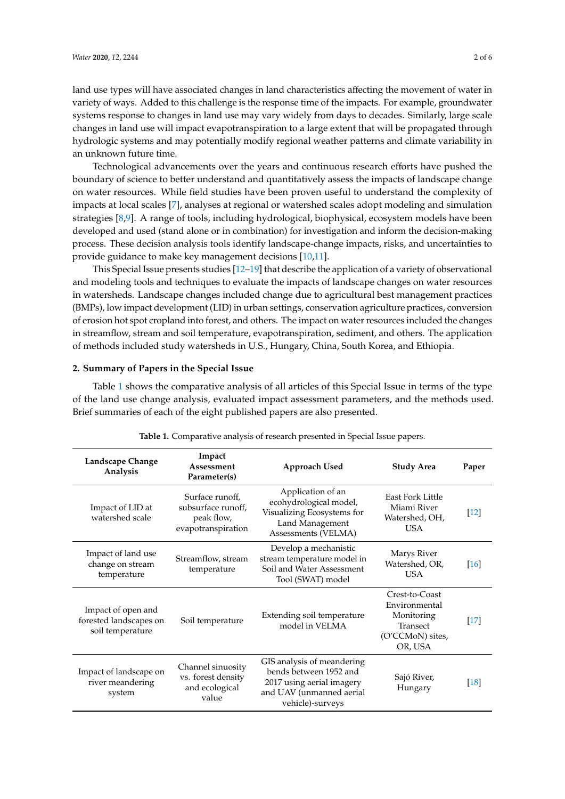land use types will have associated changes in land characteristics affecting the movement of water in variety of ways. Added to this challenge is the response time of the impacts. For example, groundwater systems response to changes in land use may vary widely from days to decades. Similarly, large scale changes in land use will impact evapotranspiration to a large extent that will be propagated through hydrologic systems and may potentially modify regional weather patterns and climate variability in an unknown future time.

Technological advancements over the years and continuous research efforts have pushed the boundary of science to better understand and quantitatively assess the impacts of landscape change on water resources. While field studies have been proven useful to understand the complexity of impacts at local scales [\[7\]](#page-4-4), analyses at regional or watershed scales adopt modeling and simulation strategies [\[8,](#page-4-5)[9\]](#page-4-6). A range of tools, including hydrological, biophysical, ecosystem models have been developed and used (stand alone or in combination) for investigation and inform the decision-making process. These decision analysis tools identify landscape-change impacts, risks, and uncertainties to provide guidance to make key management decisions [\[10](#page-4-7)[,11\]](#page-4-8).

This Special Issue presents studies [\[12](#page-4-9)[–19\]](#page-5-0) that describe the application of a variety of observational and modeling tools and techniques to evaluate the impacts of landscape changes on water resources in watersheds. Landscape changes included change due to agricultural best management practices (BMPs), low impact development (LID) in urban settings, conservation agriculture practices, conversion of erosion hot spot cropland into forest, and others. The impact on water resources included the changes in streamflow, stream and soil temperature, evapotranspiration, sediment, and others. The application of methods included study watersheds in U.S., Hungary, China, South Korea, and Ethiopia.

#### **2. Summary of Papers in the Special Issue**

Table [1](#page-2-0) shows the comparative analysis of all articles of this Special Issue in terms of the type of the land use change analysis, evaluated impact assessment parameters, and the methods used. Brief summaries of each of the eight published papers are also presented.

| Landscape Change<br>Analysis                                     | Impact<br>Assessment<br>Parameter(s)                                      | Approach Used                                                                                                                     | <b>Study Area</b>                                                                        | Paper              |
|------------------------------------------------------------------|---------------------------------------------------------------------------|-----------------------------------------------------------------------------------------------------------------------------------|------------------------------------------------------------------------------------------|--------------------|
| Impact of LID at<br>watershed scale                              | Surface runoff,<br>subsurface runoff,<br>peak flow,<br>evapotranspiration | Application of an<br>ecohydrological model,<br>Visualizing Ecosystems for<br>Land Management<br>Assessments (VELMA)               | East Fork Little<br>Miami River<br>Watershed, OH,<br><b>USA</b>                          | $[12]$             |
| Impact of land use<br>change on stream<br>temperature            | Streamflow, stream<br>temperature                                         | Develop a mechanistic<br>stream temperature model in<br>Soil and Water Assessment<br>Tool (SWAT) model                            | Marys River<br>Watershed, OR,<br><b>USA</b>                                              | $\lceil 16 \rceil$ |
| Impact of open and<br>forested landscapes on<br>soil temperature | Soil temperature                                                          | Extending soil temperature<br>model in VELMA                                                                                      | Crest-to-Coast<br>Environmental<br>Monitoring<br>Transect<br>(O'CCMoN) sites,<br>OR, USA | $[17]$             |
| Impact of landscape on<br>river meandering<br>system             | Channel sinuosity<br>vs. forest density<br>and ecological<br>value        | GIS analysis of meandering<br>bends between 1952 and<br>2017 using aerial imagery<br>and UAV (unmanned aerial<br>vehicle)-surveys | Sajó River,<br>Hungary                                                                   | $\lceil 18 \rceil$ |

|  |  | <b>Table 1.</b> Comparative analysis of research presented in Special Issue papers. |  |  |  |  |
|--|--|-------------------------------------------------------------------------------------|--|--|--|--|
|--|--|-------------------------------------------------------------------------------------|--|--|--|--|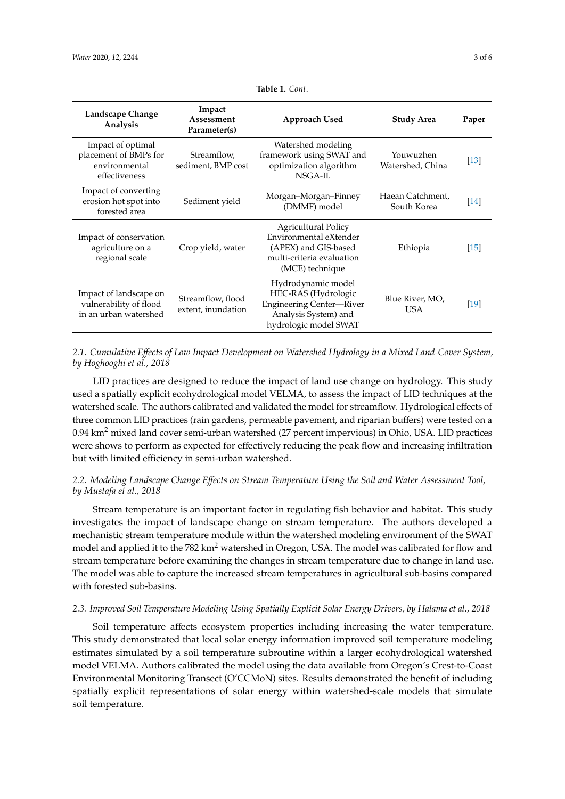<span id="page-2-0"></span>

| Landscape Change<br>Analysis                                                 | Impact<br>Assessment<br>Parameter(s)    | Approach Used                                                                                                                | <b>Study Area</b>               | Paper              |
|------------------------------------------------------------------------------|-----------------------------------------|------------------------------------------------------------------------------------------------------------------------------|---------------------------------|--------------------|
| Impact of optimal<br>placement of BMPs for<br>environmental<br>effectiveness | Streamflow,<br>sediment, BMP cost       | Watershed modeling<br>framework using SWAT and<br>optimization algorithm<br>NSGA-II.                                         | Youwuzhen<br>Watershed, China   | $\lceil 13 \rceil$ |
| Impact of converting<br>erosion hot spot into<br>forested area               | Sediment yield                          | Morgan-Morgan-Finney<br>(DMMF) model                                                                                         | Haean Catchment,<br>South Korea | [14]               |
| Impact of conservation<br>agriculture on a<br>regional scale                 | Crop yield, water                       | <b>Agricultural Policy</b><br>Environmental eXtender<br>(APEX) and GIS-based<br>multi-criteria evaluation<br>(MCE) technique | Ethiopia                        | $[15]$             |
| Impact of landscape on<br>vulnerability of flood<br>in an urban watershed    | Streamflow, flood<br>extent, inundation | Hydrodynamic model<br>HEC-RAS (Hydrologic<br>Engineering Center-River<br>Analysis System) and<br>hydrologic model SWAT       | Blue River, MO,<br><b>USA</b>   | $[19]$             |

**Table 1.** *Cont*.

#### *2.1. Cumulative E*ff*ects of Low Impact Development on Watershed Hydrology in a Mixed Land-Cover System, by Hoghooghi et al., 2018*

LID practices are designed to reduce the impact of land use change on hydrology. This study used a spatially explicit ecohydrological model VELMA, to assess the impact of LID techniques at the watershed scale. The authors calibrated and validated the model for streamflow. Hydrological effects of three common LID practices (rain gardens, permeable pavement, and riparian buffers) were tested on a 0.94 km<sup>2</sup> mixed land cover semi-urban watershed (27 percent impervious) in Ohio, USA. LID practices were shows to perform as expected for effectively reducing the peak flow and increasing infiltration but with limited efficiency in semi-urban watershed.

## *2.2. Modeling Landscape Change E*ff*ects on Stream Temperature Using the Soil and Water Assessment Tool, by Mustafa et al., 2018*

Stream temperature is an important factor in regulating fish behavior and habitat. This study investigates the impact of landscape change on stream temperature. The authors developed a mechanistic stream temperature module within the watershed modeling environment of the SWAT model and applied it to the 782 km<sup>2</sup> watershed in Oregon, USA. The model was calibrated for flow and stream temperature before examining the changes in stream temperature due to change in land use. The model was able to capture the increased stream temperatures in agricultural sub-basins compared with forested sub-basins.

#### *2.3. Improved Soil Temperature Modeling Using Spatially Explicit Solar Energy Drivers, by Halama et al., 2018*

Soil temperature affects ecosystem properties including increasing the water temperature. This study demonstrated that local solar energy information improved soil temperature modeling estimates simulated by a soil temperature subroutine within a larger ecohydrological watershed model VELMA. Authors calibrated the model using the data available from Oregon's Crest-to-Coast Environmental Monitoring Transect (O'CCMoN) sites. Results demonstrated the benefit of including spatially explicit representations of solar energy within watershed-scale models that simulate soil temperature.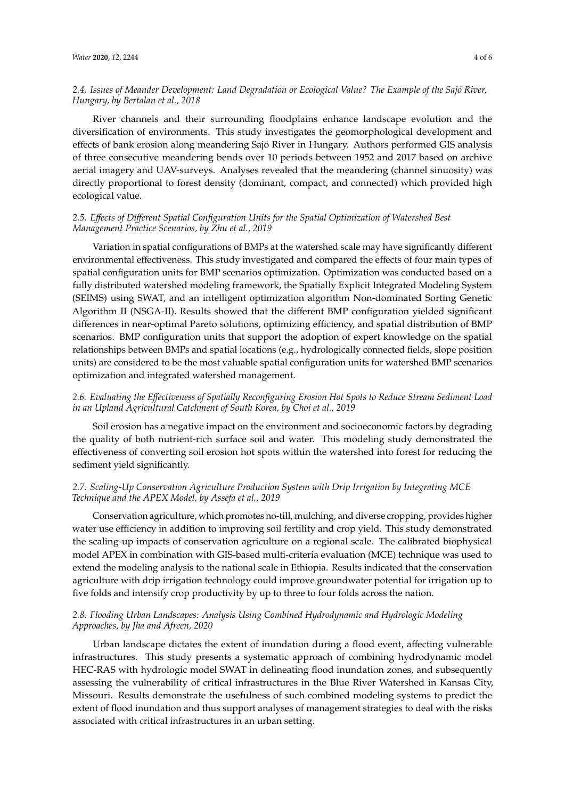#### *2.4. Issues of Meander Development: Land Degradation or Ecological Value? The Example of the Sajó River, Hungary, by Bertalan et al., 2018*

River channels and their surrounding floodplains enhance landscape evolution and the diversification of environments. This study investigates the geomorphological development and effects of bank erosion along meandering Sajó River in Hungary. Authors performed GIS analysis of three consecutive meandering bends over 10 periods between 1952 and 2017 based on archive aerial imagery and UAV-surveys. Analyses revealed that the meandering (channel sinuosity) was directly proportional to forest density (dominant, compact, and connected) which provided high ecological value.

### *2.5. E*ff*ects of Di*ff*erent Spatial Configuration Units for the Spatial Optimization of Watershed Best Management Practice Scenarios, by Zhu et al., 2019*

Variation in spatial configurations of BMPs at the watershed scale may have significantly different environmental effectiveness. This study investigated and compared the effects of four main types of spatial configuration units for BMP scenarios optimization. Optimization was conducted based on a fully distributed watershed modeling framework, the Spatially Explicit Integrated Modeling System (SEIMS) using SWAT, and an intelligent optimization algorithm Non-dominated Sorting Genetic Algorithm II (NSGA-II). Results showed that the different BMP configuration yielded significant differences in near-optimal Pareto solutions, optimizing efficiency, and spatial distribution of BMP scenarios. BMP configuration units that support the adoption of expert knowledge on the spatial relationships between BMPs and spatial locations (e.g., hydrologically connected fields, slope position units) are considered to be the most valuable spatial configuration units for watershed BMP scenarios optimization and integrated watershed management.

#### *2.6. Evaluating the E*ff*ectiveness of Spatially Reconfiguring Erosion Hot Spots to Reduce Stream Sediment Load in an Upland Agricultural Catchment of South Korea, by Choi et al., 2019*

Soil erosion has a negative impact on the environment and socioeconomic factors by degrading the quality of both nutrient-rich surface soil and water. This modeling study demonstrated the effectiveness of converting soil erosion hot spots within the watershed into forest for reducing the sediment yield significantly.

#### *2.7. Scaling-Up Conservation Agriculture Production System with Drip Irrigation by Integrating MCE Technique and the APEX Model, by Assefa et al., 2019*

Conservation agriculture, which promotes no-till, mulching, and diverse cropping, provides higher water use efficiency in addition to improving soil fertility and crop yield. This study demonstrated the scaling-up impacts of conservation agriculture on a regional scale. The calibrated biophysical model APEX in combination with GIS-based multi-criteria evaluation (MCE) technique was used to extend the modeling analysis to the national scale in Ethiopia. Results indicated that the conservation agriculture with drip irrigation technology could improve groundwater potential for irrigation up to five folds and intensify crop productivity by up to three to four folds across the nation.

#### *2.8. Flooding Urban Landscapes: Analysis Using Combined Hydrodynamic and Hydrologic Modeling Approaches, by Jha and Afreen, 2020*

Urban landscape dictates the extent of inundation during a flood event, affecting vulnerable infrastructures. This study presents a systematic approach of combining hydrodynamic model HEC-RAS with hydrologic model SWAT in delineating flood inundation zones, and subsequently assessing the vulnerability of critical infrastructures in the Blue River Watershed in Kansas City, Missouri. Results demonstrate the usefulness of such combined modeling systems to predict the extent of flood inundation and thus support analyses of management strategies to deal with the risks associated with critical infrastructures in an urban setting.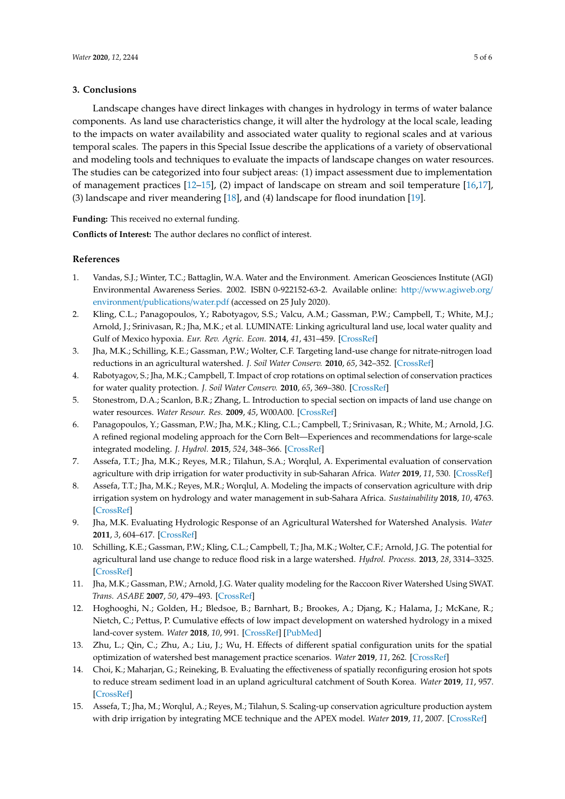## **3. Conclusions**

Landscape changes have direct linkages with changes in hydrology in terms of water balance components. As land use characteristics change, it will alter the hydrology at the local scale, leading to the impacts on water availability and associated water quality to regional scales and at various temporal scales. The papers in this Special Issue describe the applications of a variety of observational and modeling tools and techniques to evaluate the impacts of landscape changes on water resources. The studies can be categorized into four subject areas: (1) impact assessment due to implementation of management practices [\[12](#page-4-9)[–15\]](#page-4-12), (2) impact of landscape on stream and soil temperature [\[16,](#page-5-1)[17\]](#page-5-2), (3) landscape and river meandering [\[18\]](#page-5-3), and (4) landscape for flood inundation [\[19\]](#page-5-0).

**Funding:** This received no external funding.

**Conflicts of Interest:** The author declares no conflict of interest.

## **References**

- <span id="page-4-0"></span>1. Vandas, S.J.; Winter, T.C.; Battaglin, W.A. Water and the Environment. American Geosciences Institute (AGI) Environmental Awareness Series. 2002. ISBN 0-922152-63-2. Available online: http://[www.agiweb.org](http://www.agiweb.org/environment/publications/water.pdf)/ [environment](http://www.agiweb.org/environment/publications/water.pdf)/publications/water.pdf (accessed on 25 July 2020).
- 2. Kling, C.L.; Panagopoulos, Y.; Rabotyagov, S.S.; Valcu, A.M.; Gassman, P.W.; Campbell, T.; White, M.J.; Arnold, J.; Srinivasan, R.; Jha, M.K.; et al. LUMINATE: Linking agricultural land use, local water quality and Gulf of Mexico hypoxia. *Eur. Rev. Agric. Econ.* **2014**, *41*, 431–459. [\[CrossRef\]](http://dx.doi.org/10.1093/erae/jbu009)
- 3. Jha, M.K.; Schilling, K.E.; Gassman, P.W.; Wolter, C.F. Targeting land-use change for nitrate-nitrogen load reductions in an agricultural watershed. *J. Soil Water Conserv.* **2010**, *65*, 342–352. [\[CrossRef\]](http://dx.doi.org/10.2489/jswc.65.6.342)
- <span id="page-4-1"></span>4. Rabotyagov, S.; Jha, M.K.; Campbell, T. Impact of crop rotations on optimal selection of conservation practices for water quality protection. *J. Soil Water Conserv.* **2010**, *65*, 369–380. [\[CrossRef\]](http://dx.doi.org/10.2489/jswc.65.6.369)
- <span id="page-4-2"></span>5. Stonestrom, D.A.; Scanlon, B.R.; Zhang, L. Introduction to special section on impacts of land use change on water resources. *Water Resour. Res.* **2009**, *45*, W00A00. [\[CrossRef\]](http://dx.doi.org/10.1029/2009WR007937)
- <span id="page-4-3"></span>6. Panagopoulos, Y.; Gassman, P.W.; Jha, M.K.; Kling, C.L.; Campbell, T.; Srinivasan, R.; White, M.; Arnold, J.G. A refined regional modeling approach for the Corn Belt—Experiences and recommendations for large-scale integrated modeling. *J. Hydrol.* **2015**, *524*, 348–366. [\[CrossRef\]](http://dx.doi.org/10.1016/j.jhydrol.2015.02.039)
- <span id="page-4-4"></span>7. Assefa, T.T.; Jha, M.K.; Reyes, M.R.; Tilahun, S.A.; Worqlul, A. Experimental evaluation of conservation agriculture with drip irrigation for water productivity in sub-Saharan Africa. *Water* **2019**, *11*, 530. [\[CrossRef\]](http://dx.doi.org/10.3390/w11030530)
- <span id="page-4-5"></span>8. Assefa, T.T.; Jha, M.K.; Reyes, M.R.; Worqlul, A. Modeling the impacts of conservation agriculture with drip irrigation system on hydrology and water management in sub-Sahara Africa. *Sustainability* **2018**, *10*, 4763. [\[CrossRef\]](http://dx.doi.org/10.3390/su10124763)
- <span id="page-4-6"></span>9. Jha, M.K. Evaluating Hydrologic Response of an Agricultural Watershed for Watershed Analysis. *Water* **2011**, *3*, 604–617. [\[CrossRef\]](http://dx.doi.org/10.3390/w3020604)
- <span id="page-4-7"></span>10. Schilling, K.E.; Gassman, P.W.; Kling, C.L.; Campbell, T.; Jha, M.K.; Wolter, C.F.; Arnold, J.G. The potential for agricultural land use change to reduce flood risk in a large watershed. *Hydrol. Process.* **2013**, *28*, 3314–3325. [\[CrossRef\]](http://dx.doi.org/10.1002/hyp.9865)
- <span id="page-4-8"></span>11. Jha, M.K.; Gassman, P.W.; Arnold, J.G. Water quality modeling for the Raccoon River Watershed Using SWAT. *Trans. ASABE* **2007**, *50*, 479–493. [\[CrossRef\]](http://dx.doi.org/10.13031/2013.22660)
- <span id="page-4-9"></span>12. Hoghooghi, N.; Golden, H.; Bledsoe, B.; Barnhart, B.; Brookes, A.; Djang, K.; Halama, J.; McKane, R.; Nietch, C.; Pettus, P. Cumulative effects of low impact development on watershed hydrology in a mixed land-cover system. *Water* **2018**, *10*, 991. [\[CrossRef\]](http://dx.doi.org/10.3390/w10080991) [\[PubMed\]](http://www.ncbi.nlm.nih.gov/pubmed/31396407)
- <span id="page-4-10"></span>13. Zhu, L.; Qin, C.; Zhu, A.; Liu, J.; Wu, H. Effects of different spatial configuration units for the spatial optimization of watershed best management practice scenarios. *Water* **2019**, *11*, 262. [\[CrossRef\]](http://dx.doi.org/10.3390/w11020262)
- <span id="page-4-11"></span>14. Choi, K.; Maharjan, G.; Reineking, B. Evaluating the effectiveness of spatially reconfiguring erosion hot spots to reduce stream sediment load in an upland agricultural catchment of South Korea. *Water* **2019**, *11*, 957. [\[CrossRef\]](http://dx.doi.org/10.3390/w11050957)
- <span id="page-4-12"></span>15. Assefa, T.; Jha, M.; Worqlul, A.; Reyes, M.; Tilahun, S. Scaling-up conservation agriculture production aystem with drip irrigation by integrating MCE technique and the APEX model. *Water* **2019**, *11*, 2007. [\[CrossRef\]](http://dx.doi.org/10.3390/w11102007)